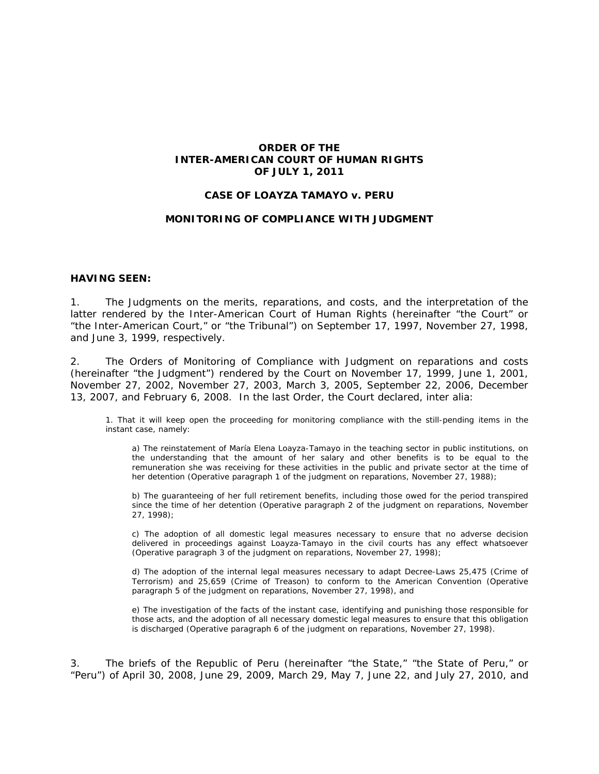## **ORDER OF THE INTER-AMERICAN COURT OF HUMAN RIGHTS OF JULY 1, 2011**

## **CASE OF LOAYZA TAMAYO** *v.* **PERU**

#### **MONITORING OF COMPLIANCE WITH JUDGMENT**

#### **HAVING SEEN:**

1. The Judgments on the merits, reparations, and costs, and the interpretation of the latter rendered by the Inter-American Court of Human Rights (hereinafter "the Court" or "the Inter-American Court," or "the Tribunal") on September 17, 1997, November 27, 1998, and June 3, 1999, respectively.

2. The Orders of Monitoring of Compliance with Judgment on reparations and costs (hereinafter "the Judgment") rendered by the Court on November 17, 1999, June 1, 2001, November 27, 2002, November 27, 2003, March 3, 2005, September 22, 2006, December 13, 2007, and February 6, 2008. In the last Order, the Court declared, *inter alia:*

1. That it will keep open the proceeding for monitoring compliance with the still-pending items in the instant case, namely:

a) The reinstatement of María Elena Loayza-Tamayo in the teaching sector in public institutions, on the understanding that the amount of her salary and other benefits is to be equal to the remuneration she was receiving for these activities in the public and private sector at the time of her detention (*Operative paragraph 1 of the judgment on reparations, November 27, 1988*);

b) The guaranteeing of her full retirement benefits, including those owed for the period transpired since the time of her detention (*Operative paragraph 2 of the judgment on reparations, November 27, 1998*);

c) The adoption of all domestic legal measures necessary to ensure that no adverse decision delivered in proceedings against Loayza-Tamayo in the civil courts has any effect whatsoever (*Operative paragraph 3 of the judgment on reparations, November 27, 1998*);

d) The adoption of the internal legal measures necessary to adapt Decree-Laws 25,475 (Crime of Terrorism) and 25,659 (Crime of Treason) to conform to the American Convention (*Operative paragraph 5 of the judgment on reparations, November 27, 1998*), and

e) The investigation of the facts of the instant case, identifying and punishing those responsible for those acts, and the adoption of all necessary domestic legal measures to ensure that this obligation is discharged (*Operative paragraph 6 of the judgment on reparations, November 27, 1998*).

3. The briefs of the Republic of Peru (hereinafter "the State," "the State of Peru," or "Peru") of April 30, 2008, June 29, 2009, March 29, May 7, June 22, and July 27, 2010, and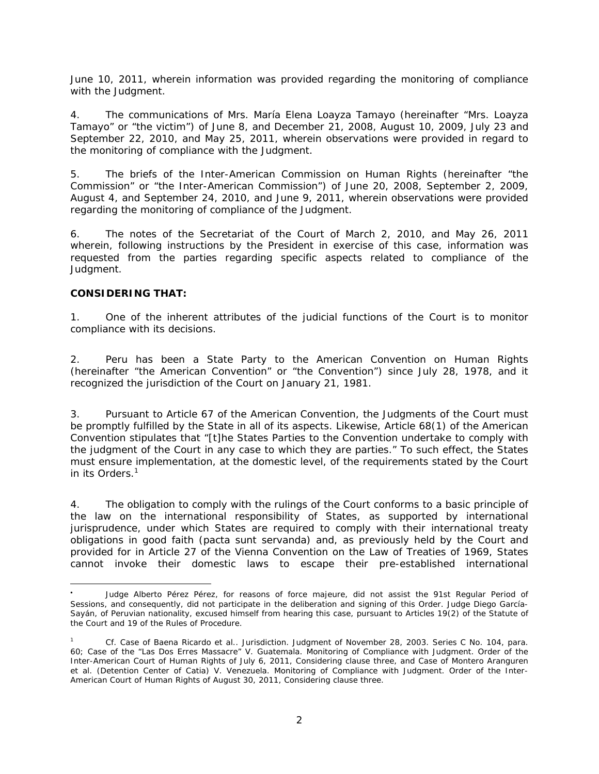June 10, 2011, wherein information was provided regarding the monitoring of compliance with the Judgment.

4. The communications of Mrs. María Elena Loayza Tamayo (hereinafter "Mrs. Loayza Tamayo" or "the victim") of June 8, and December 21, 2008, August 10, 2009, July 23 and September 22, 2010, and May 25, 2011, wherein observations were provided in regard to the monitoring of compliance with the Judgment.

5. The briefs of the Inter-American Commission on Human Rights (hereinafter "the Commission" or "the Inter-American Commission") of June 20, 2008, September 2, 2009, August 4, and September 24, 2010, and June 9, 2011, wherein observations were provided regarding the monitoring of compliance of the Judgment.

6. The notes of the Secretariat of the Court of March 2, 2010, and May 26, 2011 wherein, following instructions by the President in exercise of this case, information was requested from the parties regarding specific aspects related to compliance of the Judgment.

## **CONSIDERING THAT:**

 $\overline{a}$ 

1. One of the inherent attributes of the judicial functions of the Court is to monitor compliance with its decisions.

2. Peru has been a State Party to the American Convention on Human Rights (hereinafter "the American Convention" or "the Convention") since July 28, 1978, and it recognized the jurisdiction of the Court on January 21, 1981.

3. Pursuant to Article 67 of the American Convention, the Judgments of the Court must be promptly fulfilled by the State in all of its aspects. Likewise, Article 68(1) of the American Convention stipulates that "[t]he States Parties to the Convention undertake to comply with the judgment of the Court in any case to which they are parties." To such effect, the States must ensure implementation, at the domestic level, of the requirements stated by the Court in its Orders.<sup>1</sup>

4. The obligation to comply with the rulings of the Court conforms to a basic principle of the law on the international responsibility of States, as supported by international jurisprudence, under which States are required to comply with their international treaty obligations in good faith *(pacta sunt servanda)* and, as previously held by the Court and provided for in Article 27 of the Vienna Convention on the Law of Treaties of 1969, States cannot invoke their domestic laws to escape their pre-established international

<sup>.</sup>  Judge Alberto Pérez Pérez, for reasons of *force majeure,* did not assist the 91st Regular Period of Sessions, and consequently, did not participate in the deliberation and signing of this Order. Judge Diego García-Sayán, of Peruvian nationality, excused himself from hearing this case, pursuant to Articles 19(2) of the Statute of the Court and 19 of the Rules of Procedure.

<sup>1</sup> *Cf. Case of Baena Ricardo et al.. Jurisdiction.* Judgment of November 28, 2003. Series C No. 104, para. 60; *Case of the "Las Dos Erres Massacre" V. Guatemala. Monitoring of Compliance with Judgment.* Order of the Inter-American Court of Human Rights of July 6, 2011, Considering clause three, and Case of *Montero Aranguren et al. (Detention Center of Catia) V. Venezuela. Monitoring of Compliance with Judgment.* Order of the Inter-American Court of Human Rights of August 30, 2011, Considering clause three.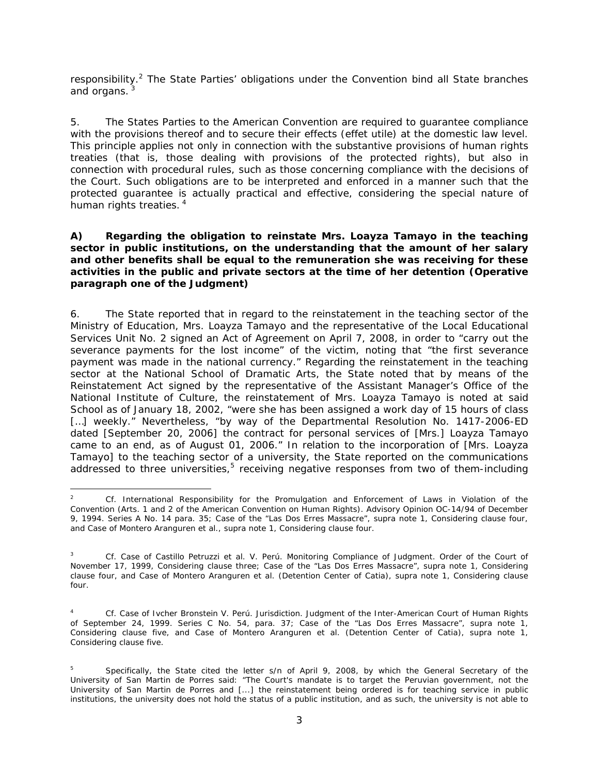responsibility.<sup>2</sup> The State Parties' obligations under the Convention bind all State branches and organs.

5. The States Parties to the American Convention are required to guarantee compliance with the provisions thereof and to secure their effects (*effet utile*) at the domestic law level. This principle applies not only in connection with the substantive provisions of human rights treaties (that is, those dealing with provisions of the protected rights), but also in connection with procedural rules, such as those concerning compliance with the decisions of the Court. Such obligations are to be interpreted and enforced in a manner such that the protected guarantee is actually practical and effective, considering the special nature of human rights treaties.<sup>4</sup>

## *A) Regarding the obligation to reinstate Mrs. Loayza Tamayo in the teaching sector in public institutions, on the understanding that the amount of her salary and other benefits shall be equal to the remuneration she was receiving for these activities in the public and private sectors at the time of her detention (Operative paragraph one of the Judgment)*

6. The State reported that in regard to the reinstatement in the teaching sector of the Ministry of Education, Mrs. Loayza Tamayo and the representative of the Local Educational Services Unit No. 2 signed an Act of Agreement on April 7, 2008, in order to "carry out the severance payments for the lost income" of the victim, noting that "the first severance payment was made in the national currency." Regarding the reinstatement in the teaching sector at the National School of Dramatic Arts, the State noted that by means of the Reinstatement Act signed by the representative of the Assistant Manager's Office of the National Institute of Culture, the reinstatement of Mrs. Loayza Tamayo is noted at said School as of January 18, 2002, "were she has been assigned a work day of 15 hours of class [...] weekly." Nevertheless, "by way of the Departmental Resolution No. 1417-2006-ED dated [September 20, 2006] the contract for personal services of [Mrs.] Loayza Tamayo came to an end, as of August 01, 2006." In relation to the incorporation of [Mrs. Loayza Tamayo] to the teaching sector of a university, the State reported on the communications addressed to three universities, $5$  receiving negative responses from two of them-including

<sup>2</sup> *Cf. International Responsibility for the Promulgation and Enforcement of Laws in Violation of the Convention (Arts. 1 and 2 of the American Convention on Human Rights).* Advisory Opinion OC-14/94 of December 9, 1994. Series A No. 14 para. 35; *Case of the "Las Dos Erres Massacre", supra* note 1, Considering clause four, and Case of *Montero Aranguren et al., supra* note 1, Considering clause four.

<sup>3</sup> *Cf. Case of Castillo Petruzzi et al. V. Perú. Monitoring Compliance of Judgment.* Order of the Court of November 17, 1999, Considering clause three; *Case of the "Las Dos Erres Massacre", supra* note 1, Considering clause four, and Case of *Montero Aranguren et al. (Detention Center of Catia), supra* note 1, Considering clause four.

<sup>4</sup> *Cf. Case of Ivcher Bronstein V. Perú. Jurisdiction.* Judgment of the Inter-American Court of Human Rights of September 24, 1999. Series C No. 54, para. 37; *Case of the "Las Dos Erres Massacre", supra* note 1, Considering clause five, and Case of *Montero Aranguren et al. (Detention Center of Catia), supra* note 1, Considering clause five.

<sup>5</sup> Specifically, the State cited the letter s/n of April 9, 2008, by which the General Secretary of the University of San Martin de Porres said: "The Court's mandate is to target the Peruvian government, not the University of San Martin de Porres and [...] the reinstatement being ordered is for teaching service in public institutions, the university does not hold the status of a public institution, and as such, the university is not able to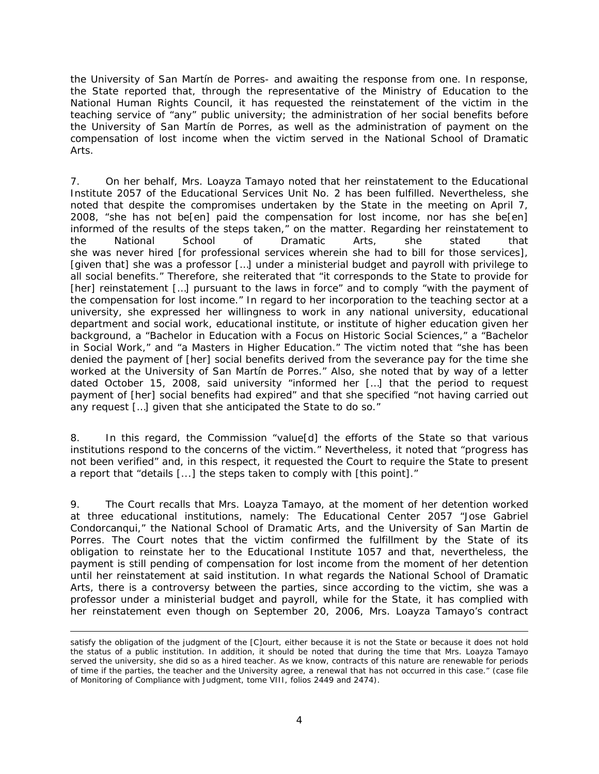the University of San Martín de Porres- and awaiting the response from one. In response, the State reported that, through the representative of the Ministry of Education to the National Human Rights Council, it has requested the reinstatement of the victim in the teaching service of "any" public university; the administration of her social benefits before the University of San Martín de Porres, as well as the administration of payment on the compensation of lost income when the victim served in the National School of Dramatic Arts.

7. On her behalf, Mrs. Loayza Tamayo noted that her reinstatement to the Educational Institute 2057 of the Educational Services Unit No. 2 has been fulfilled. Nevertheless, she noted that despite the compromises undertaken by the State in the meeting on April 7, 2008, "she has not be[en] paid the compensation for lost income, nor has she be[en] informed of the results of the steps taken," on the matter. Regarding her reinstatement to the National School of Dramatic Arts, she stated that she was never hired [for professional services wherein she had to bill for those services], [given that] she was a professor […] under a ministerial budget and payroll with privilege to all social benefits." Therefore, she reiterated that "it corresponds to the State to provide for [her] reinstatement [...] pursuant to the laws in force" and to comply "with the payment of the compensation for lost income." In regard to her incorporation to the teaching sector at a university, she expressed her willingness to work in any national university, educational department and social work, educational institute, or institute of higher education given her background, a "Bachelor in Education with a Focus on Historic Social Sciences," a "Bachelor in Social Work," and "a Masters in Higher Education." The victim noted that "she has been denied the payment of [her] social benefits derived from the severance pay for the time she worked at the University of San Martín de Porres." Also, she noted that by way of a letter dated October 15, 2008, said university "informed her […] that the period to request payment of [her] social benefits had expired" and that she specified "not having carried out any request […] given that she anticipated the State to do so."

8. In this regard, the Commission "value[d] the efforts of the State so that various institutions respond to the concerns of the victim." Nevertheless, it noted that "progress has not been verified" and, in this respect, it requested the Court to require the State to present a report that "details [...] the steps taken to comply with [this point]."

9. The Court recalls that Mrs. Loayza Tamayo, at the moment of her detention worked at three educational institutions, namely: The Educational Center 2057 "Jose Gabriel Condorcanqui," the National School of Dramatic Arts, and the University of San Martin de Porres. The Court notes that the victim confirmed the fulfillment by the State of its obligation to reinstate her to the Educational Institute 1057 and that, nevertheless, the payment is still pending of compensation for lost income from the moment of her detention until her reinstatement at said institution. In what regards the National School of Dramatic Arts, there is a controversy between the parties, since according to the victim, she was a professor under a ministerial budget and payroll, while for the State, it has complied with her reinstatement even though on September 20, 2006, Mrs. Loayza Tamayo's contract

satisfy the obligation of the judgment of the [C]ourt, either because it is not the State or because it does not hold the status of a public institution. In addition, it should be noted that during the time that Mrs. Loayza Tamayo served the university, she did so as a hired teacher. As we know, contracts of this nature are renewable for periods of time if the parties, the teacher and the University agree, a renewal that has not occurred in this case." (case file of Monitoring of Compliance with Judgment, tome VIII, folios 2449 and 2474).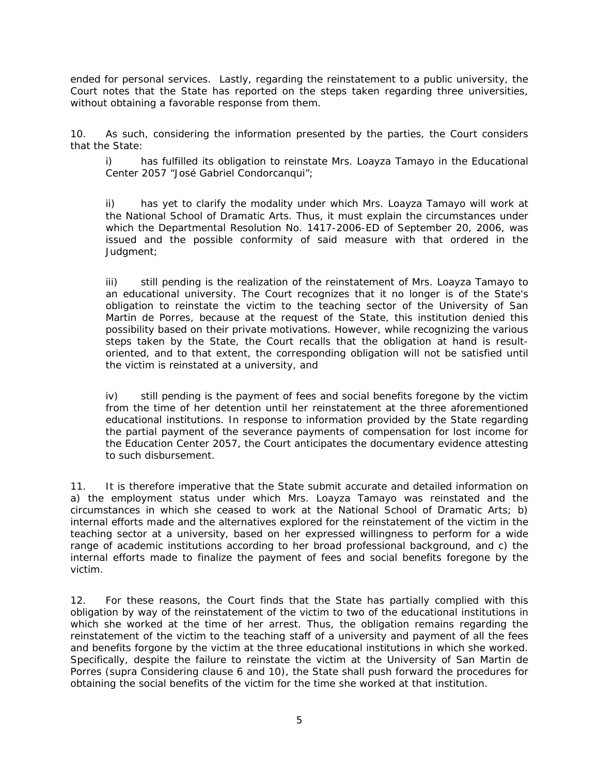ended for personal services. Lastly, regarding the reinstatement to a public university, the Court notes that the State has reported on the steps taken regarding three universities, without obtaining a favorable response from them.

10. As such, considering the information presented by the parties, the Court considers that the State:

i) has fulfilled its obligation to reinstate Mrs. Loayza Tamayo in the Educational Center 2057 "José Gabriel Condorcanqui";

ii) has yet to clarify the modality under which Mrs. Loayza Tamayo will work at the National School of Dramatic Arts. Thus, it must explain the circumstances under which the Departmental Resolution No. 1417-2006-ED of September 20, 2006, was issued and the possible conformity of said measure with that ordered in the Judgment;

iii) still pending is the realization of the reinstatement of Mrs. Loayza Tamayo to an educational university. The Court recognizes that it no longer is of the State's obligation to reinstate the victim to the teaching sector of the University of San Martin de Porres, because at the request of the State, this institution denied this possibility based on their private motivations. However, while recognizing the various steps taken by the State, the Court recalls that the obligation at hand is resultoriented, and to that extent, the corresponding obligation will not be satisfied until the victim is reinstated at a university, and

iv) still pending is the payment of fees and social benefits foregone by the victim from the time of her detention until her reinstatement at the three aforementioned educational institutions. In response to information provided by the State regarding the partial payment of the severance payments of compensation for lost income for the Education Center 2057, the Court anticipates the documentary evidence attesting to such disbursement.

11. It is therefore imperative that the State submit accurate and detailed information on a) the employment status under which Mrs. Loayza Tamayo was reinstated and the circumstances in which she ceased to work at the National School of Dramatic Arts; b) internal efforts made and the alternatives explored for the reinstatement of the victim in the teaching sector at a university, based on her expressed willingness to perform for a wide range of academic institutions according to her broad professional background, and c) the internal efforts made to finalize the payment of fees and social benefits foregone by the victim.

12. For these reasons, the Court finds that the State has partially complied with this obligation by way of the reinstatement of the victim to two of the educational institutions in which she worked at the time of her arrest. Thus, the obligation remains regarding the reinstatement of the victim to the teaching staff of a university and payment of all the fees and benefits forgone by the victim at the three educational institutions in which she worked. Specifically, despite the failure to reinstate the victim at the University of San Martin de Porres (*supra* Considering clause 6 and 10), the State shall push forward the procedures for obtaining the social benefits of the victim for the time she worked at that institution.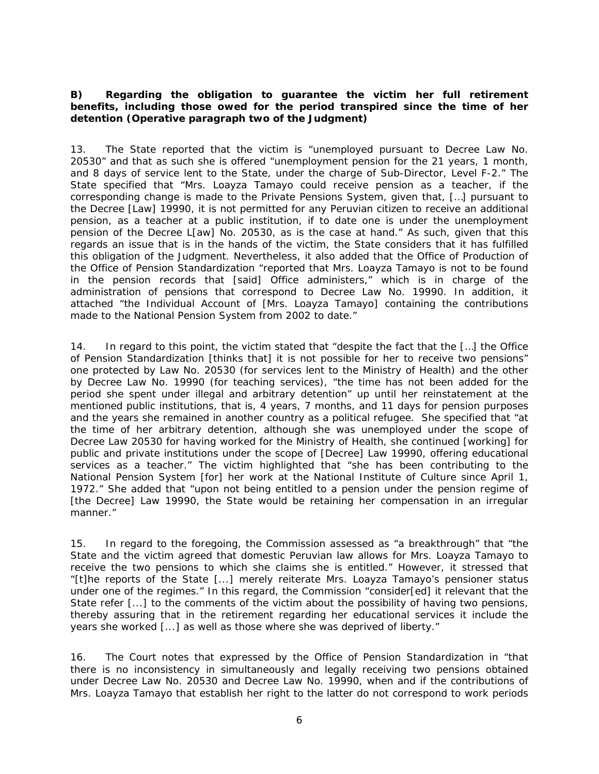# B) Regarding the obligation to guarantee the victim her full retirement *benefits, including those owed for the period transpired since the time of her detention (Operative paragraph two of the Judgment)*

13. The State reported that the victim is "unemployed pursuant to Decree Law No. 20530" and that as such she is offered "unemployment pension for the 21 years, 1 month, and 8 days of service lent to the State, under the charge of Sub-Director, Level F-2." The State specified that "Mrs. Loayza Tamayo could receive pension as a teacher, if the corresponding change is made to the Private Pensions System, given that, […] pursuant to the Decree [Law] 19990, it is not permitted for any Peruvian citizen to receive an additional pension, as a teacher at a public institution, if to date one is under the unemployment pension of the Decree L[aw] No. 20530, as is the case at hand." As such, given that this regards an issue that is in the hands of the victim, the State considers that it has fulfilled this obligation of the Judgment. Nevertheless, it also added that the Office of Production of the Office of Pension Standardization "reported that Mrs. Loayza Tamayo is not to be found in the pension records that [said] Office administers," which is in charge of the administration of pensions that correspond to Decree Law No. 19990. In addition, it attached "the Individual Account of [Mrs. Loayza Tamayo] containing the contributions made to the National Pension System from 2002 to date."

14. In regard to this point, the victim stated that "despite the fact that the […] the Office of Pension Standardization [thinks that] it is not possible for her to receive two pensions" one protected by Law No. 20530 (for services lent to the Ministry of Health) and the other by Decree Law No. 19990 (for teaching services), "the time has not been added for the period she spent under illegal and arbitrary detention" up until her reinstatement at the mentioned public institutions, that is, 4 years, 7 months, and 11 days for pension purposes and the years she remained in another country as a political refugee.She specified that "at the time of her arbitrary detention, although she was unemployed under the scope of Decree Law 20530 for having worked for the Ministry of Health, she continued [working] for public and private institutions under the scope of [Decree] Law 19990, offering educational services as a teacher." The victim highlighted that "she has been contributing to the National Pension System [for] her work at the National Institute of Culture since April 1, 1972." She added that "upon not being entitled to a pension under the pension regime of [the Decree] Law 19990, the State would be retaining her compensation in an irregular manner."

15. In regard to the foregoing, the Commission assessed as "a breakthrough" that "the State and the victim agreed that domestic Peruvian law allows for Mrs. Loayza Tamayo to receive the two pensions to which she claims she is entitled." However, it stressed that "[t]he reports of the State [...] merely reiterate Mrs. Loayza Tamayo's pensioner status under one of the regimes." In this regard, the Commission "consider[ed] it relevant that the State refer [...] to the comments of the victim about the possibility of having two pensions, thereby assuring that in the retirement regarding her educational services it include the years she worked [...] as well as those where she was deprived of liberty."

16. The Court notes that expressed by the Office of Pension Standardization in "that there is no inconsistency in simultaneously and legally receiving two pensions obtained under Decree Law No. 20530 and Decree Law No. 19990, when and if the contributions of Mrs. Loayza Tamayo that establish her right to the latter do not correspond to work periods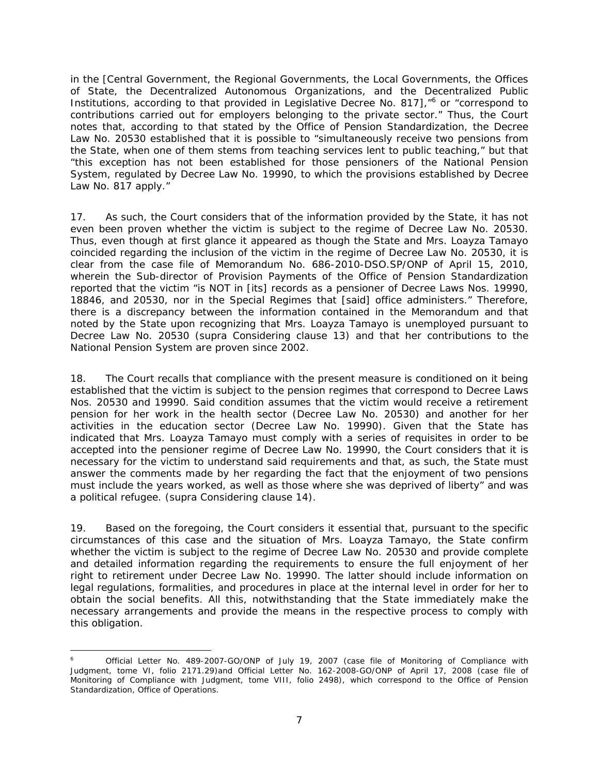in the [Central Government, the Regional Governments, the Local Governments, the Offices of State, the Decentralized Autonomous Organizations, and the Decentralized Public Institutions, according to that provided in Legislative Decree No. 817],"<sup>6</sup> or "correspond to contributions carried out for employers belonging to the private sector." Thus, the Court notes that, according to that stated by the Office of Pension Standardization, the Decree Law No. 20530 established that it is possible to "simultaneously receive two pensions from the State, when one of them stems from teaching services lent to public teaching," but that "this exception has not been established for those pensioners of the National Pension System, regulated by Decree Law No. 19990, to which the provisions established by Decree Law No. 817 apply."

17. As such, the Court considers that of the information provided by the State, it has not even been proven whether the victim is subject to the regime of Decree Law No. 20530. Thus, even though at first glance it appeared as though the State and Mrs. Loayza Tamayo coincided regarding the inclusion of the victim in the regime of Decree Law No. 20530, it is clear from the case file of Memorandum No. 686-2010-DSO.SP/ONP of April 15, 2010, wherein the Sub-director of Provision Payments of the Office of Pension Standardization reported that the victim "is NOT in [its] records as a pensioner of Decree Laws Nos. 19990, 18846, and 20530, nor in the Special Regimes that [said] office administers." Therefore, there is a discrepancy between the information contained in the Memorandum and that noted by the State upon recognizing that Mrs. Loayza Tamayo is unemployed pursuant to Decree Law No. 20530 (*supra* Considering clause 13) and that her contributions to the National Pension System are proven since 2002.

18. The Court recalls that compliance with the present measure is conditioned on it being established that the victim is subject to the pension regimes that correspond to Decree Laws Nos. 20530 and 19990. Said condition assumes that the victim would receive a retirement pension for her work in the health sector (Decree Law No. 20530) and another for her activities in the education sector (Decree Law No. 19990). Given that the State has indicated that Mrs. Loayza Tamayo must comply with a series of requisites in order to be accepted into the pensioner regime of Decree Law No. 19990, the Court considers that it is necessary for the victim to understand said requirements and that, as such, the State must answer the comments made by her regarding the fact that the enjoyment of two pensions must include the years worked, as well as those where she was deprived of liberty" and was a political refugee. (*supra* Considering clause 14).

19. Based on the foregoing, the Court considers it essential that, pursuant to the specific circumstances of this case and the situation of Mrs. Loayza Tamayo, the State confirm whether the victim is subject to the regime of Decree Law No. 20530 and provide complete and detailed information regarding the requirements to ensure the full enjoyment of her right to retirement under Decree Law No. 19990. The latter should include information on legal regulations, formalities, and procedures in place at the internal level in order for her to obtain the social benefits. All this, notwithstanding that the State immediately make the necessary arrangements and provide the means in the respective process to comply with this obligation.

 6 Official Letter No. 489-2007-GO/ONP of July 19, 2007 (case file of Monitoring of Compliance with Judgment, tome VI, folio 2171.29)and Official Letter No. 162-2008-GO/ONP of April 17, 2008 (case file of Monitoring of Compliance with Judgment, tome VIII, folio 2498), which correspond to the Office of Pension Standardization, Office of Operations.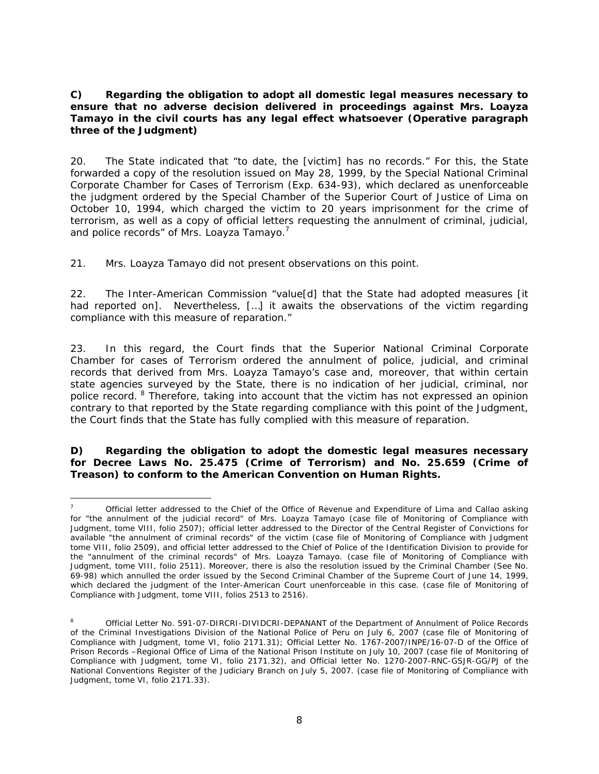# *C) Regarding the obligation to adopt all domestic legal measures necessary to ensure that no adverse decision delivered in proceedings against Mrs. Loayza Tamayo in the civil courts has any legal effect whatsoever (Operative paragraph three of the Judgment)*

20. The State indicated that "to date, the [victim] has no records." For this, the State forwarded a copy of the resolution issued on May 28, 1999, by the Special National Criminal Corporate Chamber for Cases of Terrorism (Exp. 634-93), which declared as unenforceable the judgment ordered by the Special Chamber of the Superior Court of Justice of Lima on October 10, 1994, which charged the victim to 20 years imprisonment for the crime of terrorism, as well as a copy of official letters requesting the annulment of criminal, judicial, and police records" of Mrs. Loayza Tamayo.<sup>7</sup>

21. Mrs. Loayza Tamayo did not present observations on this point.

22. The Inter-American Commission "value[d] that the State had adopted measures [it had reported on]. Nevertheless, [...] it awaits the observations of the victim regarding compliance with this measure of reparation."

23. In this regard, the Court finds that the Superior National Criminal Corporate Chamber for cases of Terrorism ordered the annulment of police, judicial, and criminal records that derived from Mrs. Loayza Tamayo's case and, moreover, that within certain state agencies surveyed by the State, there is no indication of her judicial, criminal, nor police record. <sup>8</sup> Therefore, taking into account that the victim has not expressed an opinion contrary to that reported by the State regarding compliance with this point of the Judgment, the Court finds that the State has fully complied with this measure of reparation.

## *D) Regarding the obligation to adopt the domestic legal measures necessary for Decree Laws No. 25.475 (Crime of Terrorism) and No. 25.659 (Crime of Treason) to conform to the American Convention on Human Rights***.**

 $\overline{a}$ 7 Official letter addressed to the Chief of the Office of Revenue and Expenditure of Lima and Callao asking for "the annulment of the judicial record" of Mrs. Loayza Tamayo (case file of Monitoring of Compliance with Judgment, tome VIII, folio 2507); official letter addressed to the Director of the Central Register of Convictions for available "the annulment of criminal records" of the victim (case file of Monitoring of Compliance with Judgment tome VIII, folio 2509), and official letter addressed to the Chief of Police of the Identification Division to provide for the "annulment of the criminal records" of Mrs. Loayza Tamayo. (case file of Monitoring of Compliance with Judgment, tome VIII, folio 2511). Moreover, there is also the resolution issued by the Criminal Chamber (See No. 69-98) which annulled the order issued by the Second Criminal Chamber of the Supreme Court of June 14, 1999, which declared the judgment of the Inter-American Court unenforceable in this case. (case file of Monitoring of Compliance with Judgment, tome VIII, folios 2513 to 2516).

<sup>8</sup> Official Letter No. 591-07-DIRCRI-DIVIDCRI-DEPANANT of the Department of Annulment of Police Records of the Criminal Investigations Division of the National Police of Peru on July 6, 2007 (case file of Monitoring of Compliance with Judgment, tome VI, folio 2171.31); Official Letter No. 1767-2007/INPE/16-07-D of the Office of Prison Records –Regional Office of Lima of the National Prison Institute on July 10, 2007 (case file of Monitoring of Compliance with Judgment, tome VI, folio 2171.32), and Official letter No. 1270-2007-RNC-GSJR-GG/PJ of the National Conventions Register of the Judiciary Branch on July 5, 2007. (case file of Monitoring of Compliance with Judgment, tome VI, folio 2171.33).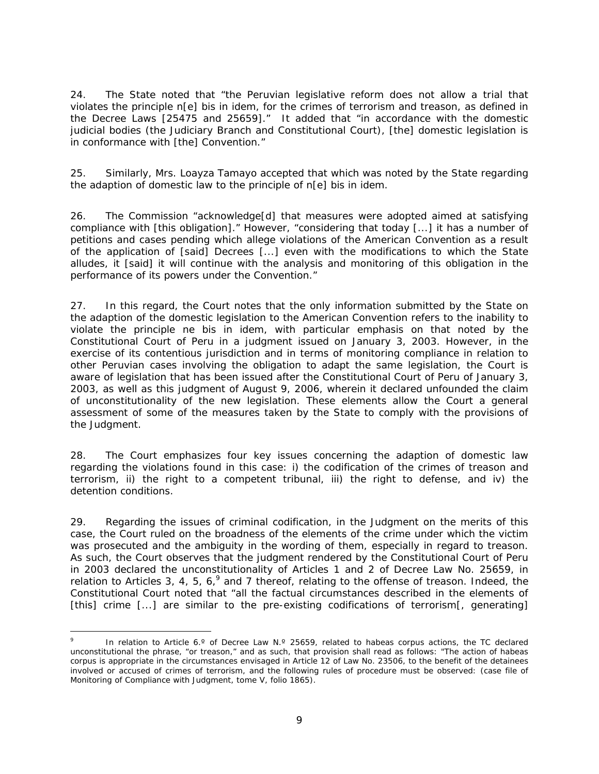24. The State noted that "the Peruvian legislative reform does not allow a trial that violates the principle *n[e] bis in idem*, for the crimes of terrorism and treason, as defined in the Decree Laws [25475 and 25659]." It added that "in accordance with the domestic judicial bodies (the Judiciary Branch and Constitutional Court), [the] domestic legislation is in conformance with [the] Convention."

25. Similarly, Mrs. Loayza Tamayo accepted that which was noted by the State regarding the adaption of domestic law to the principle of *n[e] bis in idem*.

26. The Commission "acknowledge[d] that measures were adopted aimed at satisfying compliance with [this obligation]." However, "considering that today [...] it has a number of petitions and cases pending which allege violations of the American Convention as a result of the application of [said] Decrees [...] even with the modifications to which the State alludes, it [said] it will continue with the analysis and monitoring of this obligation in the performance of its powers under the Convention."

27. In this regard, the Court notes that the only information submitted by the State on the adaption of the domestic legislation to the American Convention refers to the inability to violate the principle *ne bis in idem*, with particular emphasis on that noted by the Constitutional Court of Peru in a judgment issued on January 3, 2003. However, in the exercise of its contentious jurisdiction and in terms of monitoring compliance in relation to other Peruvian cases involving the obligation to adapt the same legislation, the Court is aware of legislation that has been issued after the Constitutional Court of Peru of January 3, 2003, as well as this judgment of August 9, 2006, wherein it declared unfounded the claim of unconstitutionality of the new legislation. These elements allow the Court a general assessment of some of the measures taken by the State to comply with the provisions of the Judgment.

28. The Court emphasizes four key issues concerning the adaption of domestic law regarding the violations found in this case: i) the codification of the crimes of treason and terrorism, ii) the right to a competent tribunal, iii) the right to defense, and iv) the detention conditions.

29. Regarding the issues of criminal codification, in the Judgment on the merits of this case, the Court ruled on the broadness of the elements of the crime under which the victim was prosecuted and the ambiguity in the wording of them, especially in regard to treason. As such, the Court observes that the judgment rendered by the Constitutional Court of Peru in 2003 declared the unconstitutionality of Articles 1 and 2 of Decree Law No. 25659, in relation to Articles 3, 4, 5, 6,  $9$  and 7 thereof, relating to the offense of treason. Indeed, the Constitutional Court noted that "all the factual circumstances described in the elements of [this] crime [...] are similar to the pre-existing codifications of terrorism[, generating]

<sup>9</sup> In relation to Article 6.° of Decree Law N.° 25659, related to habeas corpus actions, the TC declared unconstitutional the phrase, "or treason," and as such, that provision shall read as follows: "The action of habeas corpus is appropriate in the circumstances envisaged in Article 12 of Law No. 23506, to the benefit of the detainees involved or accused of crimes of terrorism, and the following rules of procedure must be observed: (case file of Monitoring of Compliance with Judgment, tome V, folio 1865).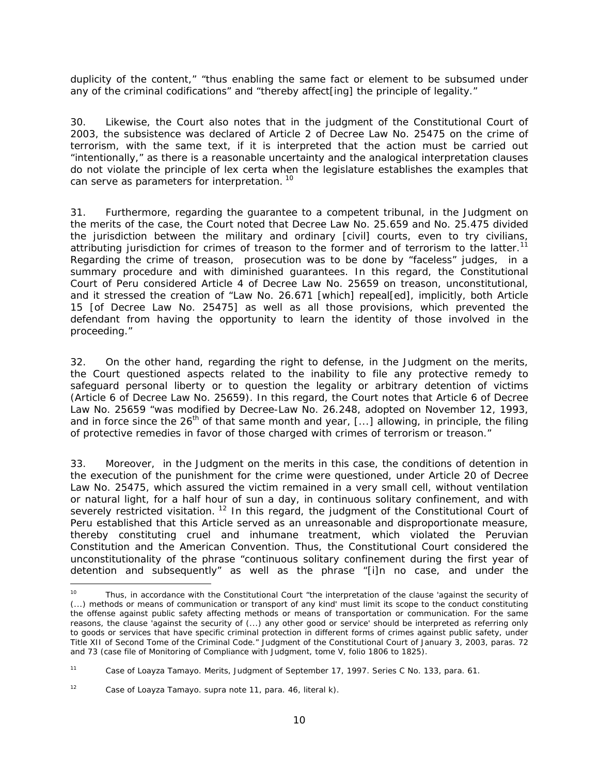duplicity of the content," "thus enabling the same fact or element to be subsumed under any of the criminal codifications" and "thereby affect[ing] the principle of legality."

30. Likewise, the Court also notes that in the judgment of the Constitutional Court of 2003, the subsistence was declared of Article 2 of Decree Law No. 25475 on the crime of terrorism, with the same text, if it is interpreted that the action must be carried out "intentionally," as there is a reasonable uncertainty and the analogical interpretation clauses do not violate the principle of *lex certa* when the legislature establishes the examples that can serve as parameters for interpretation.<sup>10</sup>

31. Furthermore, regarding the guarantee to a competent tribunal, in the Judgment on the merits of the case, the Court noted that Decree Law No. 25.659 and No. 25.475 divided the jurisdiction between the military and ordinary [civil] courts, even to try civilians, attributing jurisdiction for crimes of treason to the former and of terrorism to the latter.<sup>11</sup> Regarding the crime of treason, prosecution was to be done by "faceless" judges, in a summary procedure and with diminished guarantees. In this regard, the Constitutional Court of Peru considered Article 4 of Decree Law No. 25659 on treason, unconstitutional, and it stressed the creation of "Law No. 26.671 [which] repeal[ed], implicitly, both Article 15 [of Decree Law No. 25475] as well as all those provisions, which prevented the defendant from having the opportunity to learn the identity of those involved in the proceeding."

32. On the other hand, regarding the right to defense, in the Judgment on the merits, the Court questioned aspects related to the inability to file any protective remedy to safeguard personal liberty or to question the legality or arbitrary detention of victims (Article 6 of Decree Law No. 25659). In this regard, the Court notes that Article 6 of Decree Law No. 25659 "was modified by Decree-Law No. 26.248, adopted on November 12, 1993, and in force since the 26<sup>th</sup> of that same month and year, [...] allowing, in principle, the filing of protective remedies in favor of those charged with crimes of terrorism or treason."

33. Moreover, in the Judgment on the merits in this case, the conditions of detention in the execution of the punishment for the crime were questioned, under Article 20 of Decree Law No. 25475, which assured the victim remained in a very small cell, without ventilation or natural light, for a half hour of sun a day, in continuous solitary confinement, and with severely restricted visitation.<sup>12</sup> In this regard, the judgment of the Constitutional Court of Peru established that this Article served as an unreasonable and disproportionate measure, thereby constituting cruel and inhumane treatment, which violated the Peruvian Constitution and the American Convention. Thus, the Constitutional Court considered the unconstitutionality of the phrase "continuous solitary confinement during the first year of detention and subsequently" as well as the phrase "[i]n no case, and under the

Thus, in accordance with the Constitutional Court "the interpretation of the clause 'against the security of (...) methods or means of communication or transport of any kind' must limit its scope to the conduct constituting the offense against public safety affecting methods or means of transportation or communication. For the same reasons, the clause 'against the security of (...) any other good or service' should be interpreted as referring only to goods or services that have specific criminal protection in different forms of crimes against public safety, under Title XII of Second Tome of the Criminal Code." Judgment of the Constitutional Court of January 3, 2003, paras. 72 and 73 (case file of Monitoring of Compliance with Judgment, tome V, folio 1806 to 1825).

<sup>11</sup> *Case of Loayza Tamayo. Merits*, Judgment of September 17, 1997. Series C No. 133, para. 61.

<sup>12</sup> *Case of Loayza Tamayo. supra* note 11, para. 46, literal k).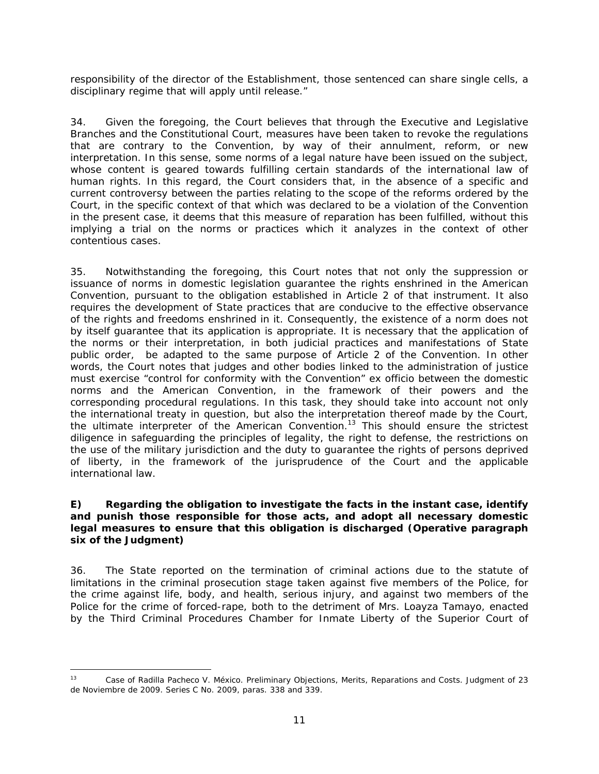responsibility of the director of the Establishment, those sentenced can share single cells, a disciplinary regime that will apply until release."

34. Given the foregoing, the Court believes that through the Executive and Legislative Branches and the Constitutional Court, measures have been taken to revoke the regulations that are contrary to the Convention, by way of their annulment, reform, or new interpretation. In this sense, some norms of a legal nature have been issued on the subject, whose content is geared towards fulfilling certain standards of the international law of human rights. In this regard, the Court considers that, in the absence of a specific and current controversy between the parties relating to the scope of the reforms ordered by the Court, in the specific context of that which was declared to be a violation of the Convention in the present case, it deems that this measure of reparation has been fulfilled, without this implying a trial on the norms or practices which it analyzes in the context of other contentious cases.

35. Notwithstanding the foregoing, this Court notes that not only the suppression or issuance of norms in domestic legislation guarantee the rights enshrined in the American Convention, pursuant to the obligation established in Article 2 of that instrument. It also requires the development of State practices that are conducive to the effective observance of the rights and freedoms enshrined in it. Consequently, the existence of a norm does not by itself guarantee that its application is appropriate. It is necessary that the application of the norms or their interpretation, in both judicial practices and manifestations of State public order, be adapted to the same purpose of Article 2 of the Convention. In other words, the Court notes that judges and other bodies linked to the administration of justice must exercise "control for conformity with the Convention" *ex officio* between the domestic norms and the American Convention, in the framework of their powers and the corresponding procedural regulations. In this task, they should take into account not only the international treaty in question, but also the interpretation thereof made by the Court, the ultimate interpreter of the American Convention.<sup>13</sup> This should ensure the strictest diligence in safeguarding the principles of legality, the right to defense, the restrictions on the use of the military jurisdiction and the duty to guarantee the rights of persons deprived of liberty, in the framework of the jurisprudence of the Court and the applicable international law.

## *E) Regarding the obligation to investigate the facts in the instant case, identify and punish those responsible for those acts, and adopt all necessary domestic legal measures to ensure that this obligation is discharged (Operative paragraph six of the Judgment)*

36. The State reported on the termination of criminal actions due to the statute of limitations in the criminal prosecution stage taken against five members of the Police, for the crime against life, body, and health, serious injury, and against two members of the Police for the crime of forced-rape, both to the detriment of Mrs. Loayza Tamayo, enacted by the Third Criminal Procedures Chamber for Inmate Liberty of the Superior Court of

 $13<sup>°</sup>$ 13 *Case of Radilla Pacheco V. México. Preliminary Objections, Merits, Reparations and Costs.* Judgment of 23 de Noviembre de 2009. Series C No. 2009, paras. 338 and 339.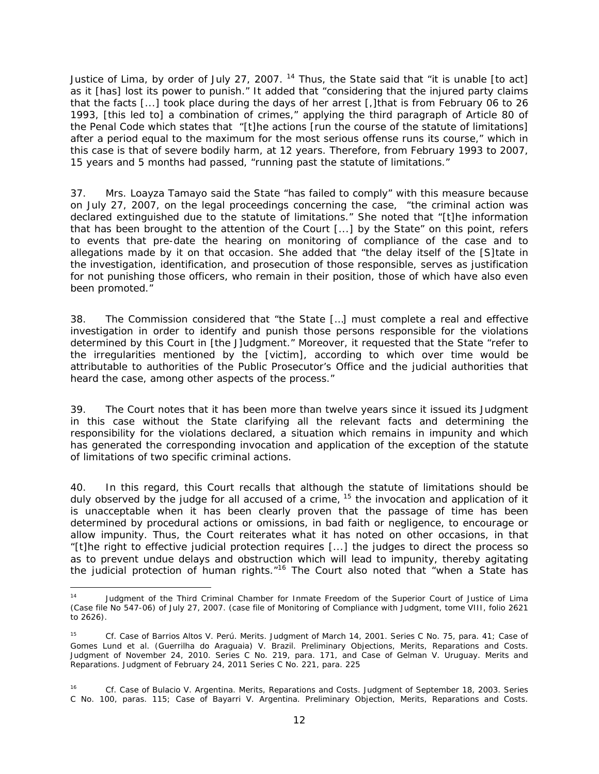Justice of Lima, by order of July 27, 2007.  $14$  Thus, the State said that "it is unable [to act] as it [has] lost its power to punish." It added that "considering that the injured party claims that the facts [...] took place during the days of her arrest [,]that is from February 06 to 26 1993, [this led to] a combination of crimes," applying the third paragraph of Article 80 of the Penal Code which states that "[t]he actions [run the course of the statute of limitations] after a period equal to the maximum for the most serious offense runs its course," which in this case is that of severe bodily harm, at 12 years. Therefore, from February 1993 to 2007, 15 years and 5 months had passed, "running past the statute of limitations."

37. Mrs. Loayza Tamayo said the State "has failed to comply" with this measure because on July 27, 2007, on the legal proceedings concerning the case, "the criminal action was declared extinguished due to the statute of limitations." She noted that "[t]he information that has been brought to the attention of the Court [...] by the State" on this point, refers to events that pre-date the hearing on monitoring of compliance of the case and to allegations made by it on that occasion. She added that "the delay itself of the [S]tate in the investigation, identification, and prosecution of those responsible, serves as justification for not punishing those officers, who remain in their position, those of which have also even been promoted."

38. The Commission considered that "the State […] must complete a real and effective investigation in order to identify and punish those persons responsible for the violations determined by this Court in [the J]udgment." Moreover, it requested that the State "refer to the irregularities mentioned by the [victim], according to which over time would be attributable to authorities of the Public Prosecutor's Office and the judicial authorities that heard the case, among other aspects of the process."

39. The Court notes that it has been more than twelve years since it issued its Judgment in this case without the State clarifying all the relevant facts and determining the responsibility for the violations declared, a situation which remains in impunity and which has generated the corresponding invocation and application of the exception of the statute of limitations of two specific criminal actions.

40. In this regard, this Court recalls that although the statute of limitations should be duly observed by the judge for all accused of a crime,  $15$  the invocation and application of it is unacceptable when it has been clearly proven that the passage of time has been determined by procedural actions or omissions, in bad faith or negligence, to encourage or allow impunity. Thus, the Court reiterates what it has noted on other occasions, in that "[t]he right to effective judicial protection requires [...] the judges to direct the process so as to prevent undue delays and obstruction which will lead to impunity, thereby agitating the judicial protection of human rights."<sup>16</sup> The Court also noted that "when a State has

 $\overline{a}$ Judgment of the Third Criminal Chamber for Inmate Freedom of the Superior Court of Justice of Lima (Case file No 547-06) of July 27, 2007. (case file of Monitoring of Compliance with Judgment, tome VIII, folio 2621 to 2626).

<sup>15</sup> *Cf. Case of Barrios Altos V. Perú. Merits.* Judgment of March 14, 2001. Series C No. 75*,* para. 41; *Case of Gomes Lund et al. (Guerrilha do Araguaia) V. Brazil. Preliminary Objections, Merits, Reparations and Costs.*  Judgment of November 24, 2010. Series C No. 219, para. 171, and Case of *Gelman V. Uruguay. Merits and Reparations.* Judgment of February 24, 2011 Series C No. 221, para. 225

<sup>16</sup> *Cf. Case of Bulacio V. Argentina. Merits, Reparations and Costs.* Judgment of September 18, 2003. Series C No. 100, paras. 115; *Case of Bayarri V. Argentina*. *Preliminary Objection, Merits, Reparations and Costs*.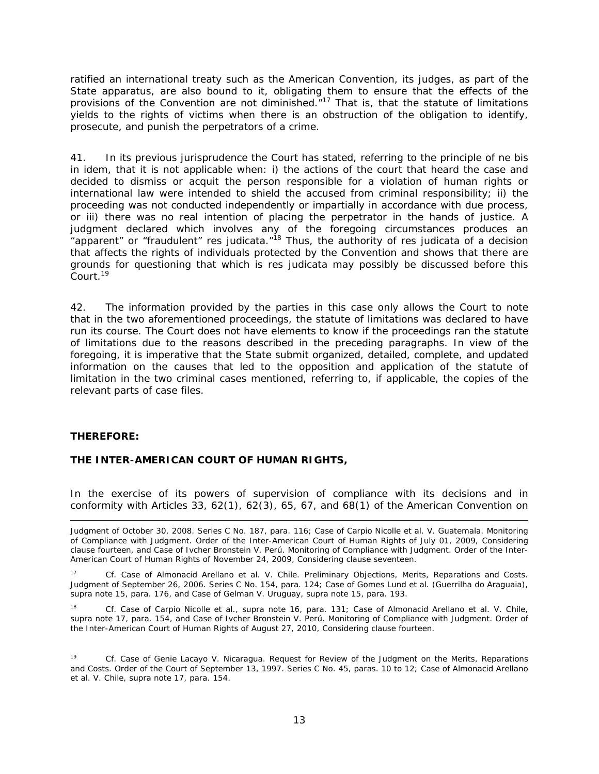ratified an international treaty such as the American Convention, its judges, as part of the State apparatus, are also bound to it, obligating them to ensure that the effects of the provisions of the Convention are not diminished.<sup>"17</sup> That is, that the statute of limitations yields to the rights of victims when there is an obstruction of the obligation to identify, prosecute, and punish the perpetrators of a crime.

41. In its previous jurisprudence the Court has stated, referring to the principle of *ne bis in idem*, that it is not applicable when: i) the actions of the court that heard the case and decided to dismiss or acquit the person responsible for a violation of human rights or international law were intended to shield the accused from criminal responsibility; ii) the proceeding was not conducted independently or impartially in accordance with due process, or iii) there was no real intention of placing the perpetrator in the hands of justice. A judgment declared which involves any of the foregoing circumstances produces an "apparent" or "fraudulent" res judicata."<sup>18</sup> Thus, the authority of res judicata of a decision that affects the rights of individuals protected by the Convention and shows that there are grounds for questioning that which is res judicata may possibly be discussed before this Court.19

42. The information provided by the parties in this case only allows the Court to note that in the two aforementioned proceedings, the statute of limitations was declared to have run its course. The Court does not have elements to know if the proceedings ran the statute of limitations due to the reasons described in the preceding paragraphs. In view of the foregoing, it is imperative that the State submit organized, detailed, complete, and updated information on the causes that led to the opposition and application of the statute of limitation in the two criminal cases mentioned, referring to, if applicable, the copies of the relevant parts of case files.

### **THEREFORE:**

### **THE INTER-AMERICAN COURT OF HUMAN RIGHTS,**

In the exercise of its powers of supervision of compliance with its decisions and in conformity with Articles 33, 62(1), 62(3), 65, 67, and 68(1) of the American Convention on

 $\overline{a}$ Judgment of October 30, 2008. Series C No. 187, para. 116; *Case of Carpio Nicolle et al. V. Guatemala. Monitoring of Compliance with Judgment.* Order of the Inter-American Court of Human Rights of July 01, 2009, Considering clause fourteen, and Case of *Ivcher Bronstein V. Perú. Monitoring of Compliance with Judgment.* Order of the Inter-American Court of Human Rights of November 24, 2009, Considering clause seventeen.

17 *Cf*. *Case of Almonacid Arellano et al. V. Chile. Preliminary Objections, Merits, Reparations and Costs*. Judgment of September 26, 2006. Series C No. 154, para. 124; *Case of Gomes Lund et al. (Guerrilha do Araguaia), supra* note 15, para. 176, and Case of *Gelman V. Uruguay, supra* note 15, para. 193.

18 *Cf. Case of Carpio Nicolle et al., supra* note 16, para. 131*; Case of Almonacid Arellano et al. V. Chile, supra* note 17, para. 154, and Case of *Ivcher Bronstein V. Perú. Monitoring of Compliance with Judgment.* Order of the Inter-American Court of Human Rights of August 27, 2010, Considering clause fourteen.

19 *Cf. Case of Genie Lacayo V. Nicaragua. Request for Review of the Judgment on the Merits, Reparations and Costs.* Order of the Court of September 13, 1997. Series C No. 45, paras. 10 to 12; *Case of Almonacid Arellano et al. V. Chile, supra* note 17, para. 154.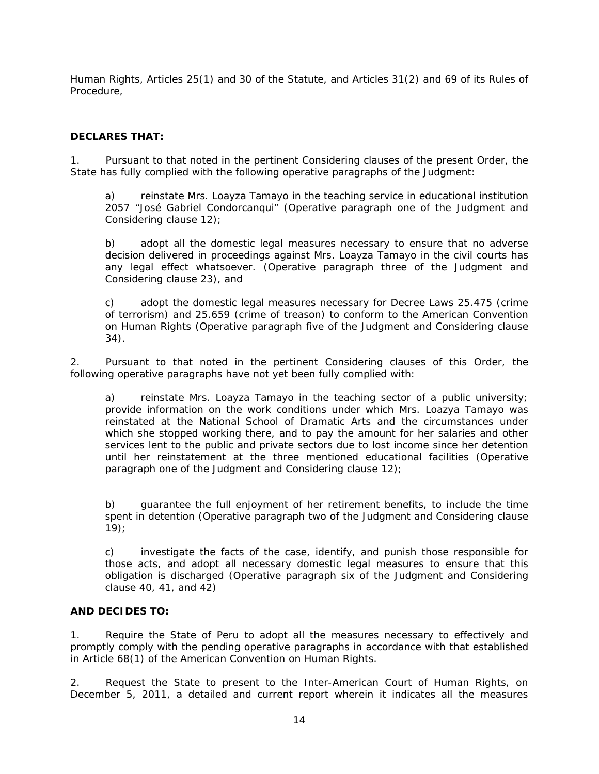Human Rights, Articles 25(1) and 30 of the Statute, and Articles 31(2) and 69 of its Rules of Procedure,

## **DECLARES THAT:**

1. Pursuant to that noted in the pertinent Considering clauses of the present Order, the State has fully complied with the following operative paragraphs of the Judgment:

a) reinstate Mrs. Loayza Tamayo in the teaching service in educational institution 2057 "José Gabriel Condorcanqui" (*Operative paragraph one of the Judgment and Considering clause 12)*;

b) adopt all the domestic legal measures necessary to ensure that no adverse decision delivered in proceedings against Mrs. Loayza Tamayo in the civil courts has any legal effect whatsoever. (*Operative paragraph three of the Judgment and Considering clause 23),* and

c) adopt the domestic legal measures necessary for Decree Laws 25.475 (crime of terrorism) and 25.659 (crime of treason) to conform to the American Convention on Human Rights (*Operative paragraph five of the Judgment and Considering clause 34).*

2. Pursuant to that noted in the pertinent Considering clauses of this Order, the following operative paragraphs have not yet been fully complied with:

a) reinstate Mrs. Loayza Tamayo in the teaching sector of a public university; provide information on the work conditions under which Mrs. Loazya Tamayo was reinstated at the National School of Dramatic Arts and the circumstances under which she stopped working there, and to pay the amount for her salaries and other services lent to the public and private sectors due to lost income since her detention until her reinstatement at the three mentioned educational facilities (*Operative paragraph one of the Judgment and Considering clause 12);* 

b) guarantee the full enjoyment of her retirement benefits, to include the time spent in detention (*Operative paragraph two of the Judgment and Considering clause 19*);

c) investigate the facts of the case, identify, and punish those responsible for those acts, and adopt all necessary domestic legal measures to ensure that this obligation is discharged (*Operative paragraph six of the Judgment and Considering clause 40, 41, and 42)*

### **AND DECIDES TO:**

1. Require the State of Peru to adopt all the measures necessary to effectively and promptly comply with the pending operative paragraphs in accordance with that established in Article 68(1) of the American Convention on Human Rights.

2. Request the State to present to the Inter-American Court of Human Rights, on December 5, 2011, a detailed and current report wherein it indicates all the measures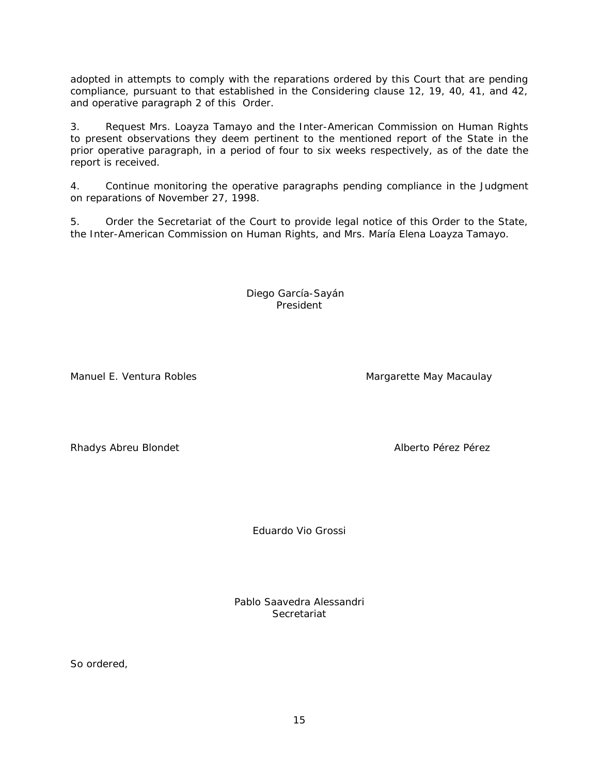adopted in attempts to comply with the reparations ordered by this Court that are pending compliance, pursuant to that established in the Considering clause 12, 19, 40, 41, and 42, and operative paragraph 2 of this Order.

3. Request Mrs. Loayza Tamayo and the Inter-American Commission on Human Rights to present observations they deem pertinent to the mentioned report of the State in the prior operative paragraph, in a period of four to six weeks respectively, as of the date the report is received.

4. Continue monitoring the operative paragraphs pending compliance in the Judgment on reparations of November 27, 1998.

5. Order the Secretariat of the Court to provide legal notice of this Order to the State, the Inter-American Commission on Human Rights, and Mrs. María Elena Loayza Tamayo.

> Diego García-Sayán President

Manuel E. Ventura Robles Manuel E. Ventura Robles

Rhadys Abreu Blondet **Alberto Pérez Pérez** Pérez Pérez Pérez Pérez Pérez Pérez Pérez Pérez Pérez Pérez Pérez Pérez Pérez Pérez Pérez Pérez Pérez Pérez Pérez Pérez Pérez Pérez Pérez Pérez Pérez Pérez Pérez Pérez Pérez Pérez

Eduardo Vio Grossi

Pablo Saavedra Alessandri Secretariat

So ordered,